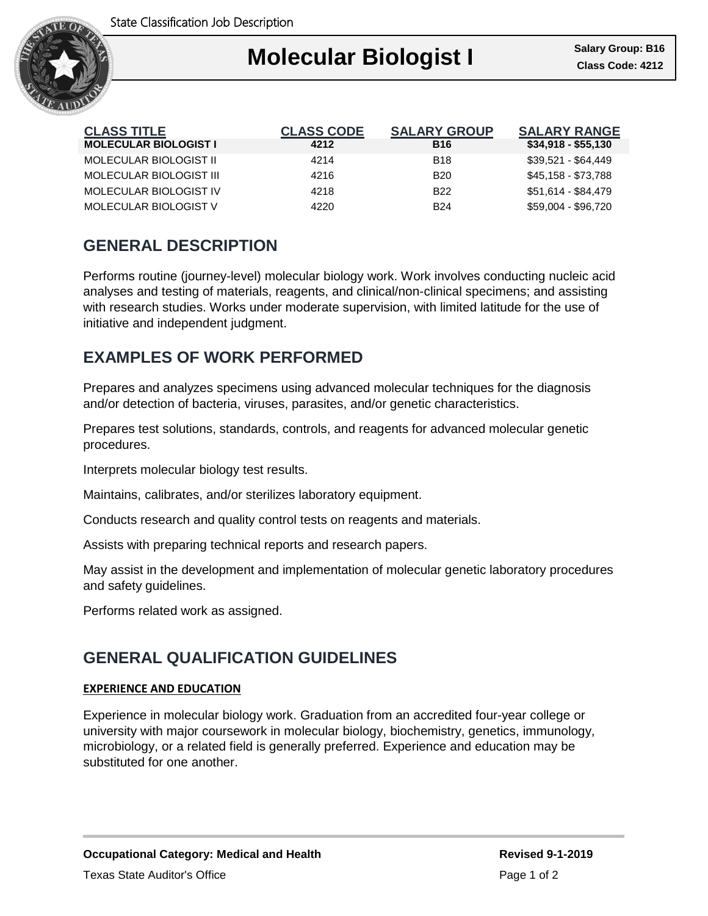

#### Ι **Molecular Biologist I Class Code: 4212**

| <b>CLASS TITLE</b>           | <b>CLASS CODE</b> | <b>SALARY GROUP</b> | <b>SALARY RANGE</b> |
|------------------------------|-------------------|---------------------|---------------------|
| <b>MOLECULAR BIOLOGIST I</b> | 4212              | <b>B16</b>          | $$34,918 - $55,130$ |
| MOLECULAR BIOLOGIST II       | 4214              | <b>B18</b>          | \$39,521 - \$64,449 |
| MOLECULAR BIOLOGIST III      | 4216              | <b>B20</b>          | \$45,158 - \$73,788 |
| MOLECULAR BIOLOGIST IV       | 4218              | B <sub>22</sub>     | \$51,614 - \$84,479 |
| MOLECULAR BIOLOGIST V        | 4220              | <b>B24</b>          | \$59.004 - \$96.720 |

# **GENERAL DESCRIPTION**

Performs routine (journey-level) molecular biology work. Work involves conducting nucleic acid analyses and testing of materials, reagents, and clinical/non-clinical specimens; and assisting with research studies. Works under moderate supervision, with limited latitude for the use of initiative and independent judgment.

### **EXAMPLES OF WORK PERFORMED**

Prepares and analyzes specimens using advanced molecular techniques for the diagnosis and/or detection of bacteria, viruses, parasites, and/or genetic characteristics.

Prepares test solutions, standards, controls, and reagents for advanced molecular genetic procedures.

Interprets molecular biology test results.

Maintains, calibrates, and/or sterilizes laboratory equipment.

Conducts research and quality control tests on reagents and materials.

Assists with preparing technical reports and research papers.

May assist in the development and implementation of molecular genetic laboratory procedures and safety guidelines.

Performs related work as assigned.

# **GENERAL QUALIFICATION GUIDELINES**

#### **EXPERIENCE AND EDUCATION**

Experience in molecular biology work. Graduation from an accredited four-year college or university with major coursework in molecular biology, biochemistry, genetics, immunology, microbiology, or a related field is generally preferred. Experience and education may be substituted for one another.